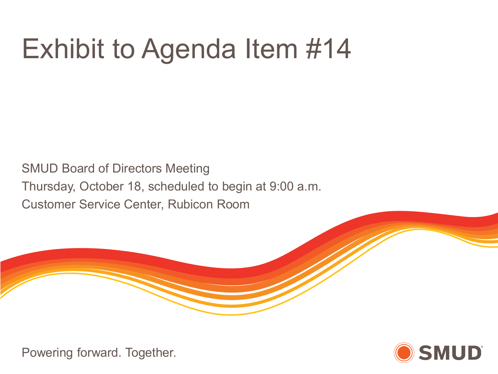# Exhibit to Agenda Item #14

SMUD Board of Directors Meeting Thursday, October 18, scheduled to begin at 9:00 a.m. Customer Service Center, Rubicon Room



Powering forward. Together.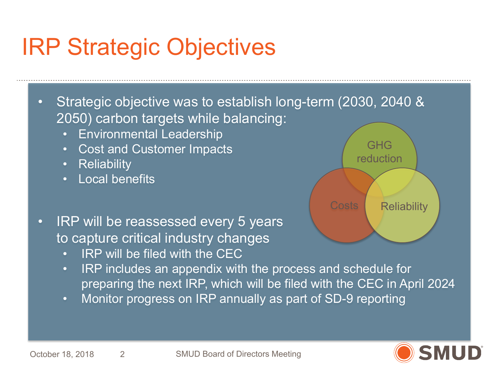### IRP Strategic Objectives

• Strategic objective was to establish long-term (2030, 2040 & 2050) carbon targets while balancing:

- Environmental Leadership
- Cost and Customer Impacts
- Reliability
- Local benefits
- IRP will be reassessed every 5 years to capture critical industry changes
	- IRP will be filed with the CEC
	- IRP includes an appendix with the process and schedule for preparing the next IRP, which will be filed with the CEC in April 2024
	- Monitor progress on IRP annually as part of SD-9 reporting



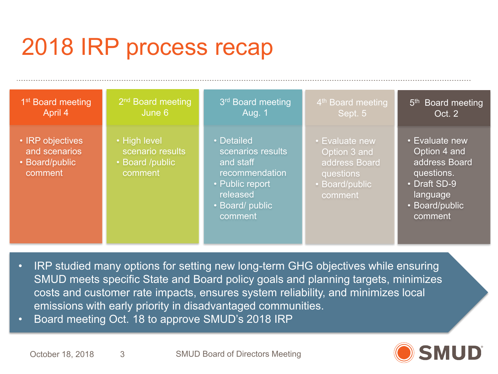### 2018 IRP process recap

| 1 <sup>st</sup> Board meeting                                  | 2 <sup>nd</sup> Board meeting                                  | 3 <sup>rd</sup> Board meeting                                                                                               | 4 <sup>th</sup> Board meeting                                                           | 5 <sup>th</sup> Board meeting                                                                                          |
|----------------------------------------------------------------|----------------------------------------------------------------|-----------------------------------------------------------------------------------------------------------------------------|-----------------------------------------------------------------------------------------|------------------------------------------------------------------------------------------------------------------------|
| April 4                                                        | June 6                                                         | <b>Aug. 1</b>                                                                                                               | Sept. 5                                                                                 | Oct. 2                                                                                                                 |
| • IRP objectives<br>and scenarios<br>• Board/public<br>comment | • High level<br>scenario results<br>• Board /public<br>comment | • Detailed<br>scenarios results<br>and staff<br>recommendation<br>• Public report<br>released<br>• Board/ public<br>comment | • Evaluate new<br>Option 3 and<br>address Board<br>questions<br>Board/public<br>comment | • Evaluate new<br>Option 4 and<br>address Board<br>questions.<br>• Draft SD-9<br>language<br>• Board/public<br>comment |

- IRP studied many options for setting new long-term GHG objectives while ensuring SMUD meets specific State and Board policy goals and planning targets, minimizes costs and customer rate impacts, ensures system reliability, and minimizes local emissions with early priority in disadvantaged communities.
- Board meeting Oct. 18 to approve SMUD's 2018 IRP



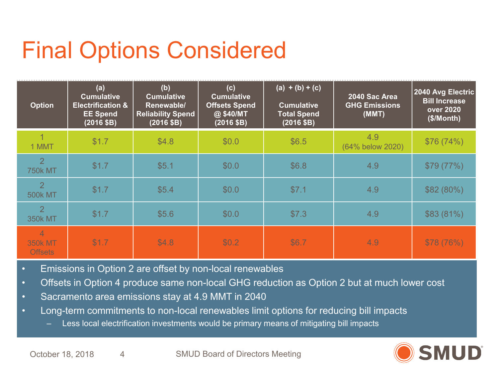### Final Options Considered

| <b>Option</b>                                      | (a)<br><b>Cumulative</b><br><b>Electrification &amp;</b><br><b>EE Spend</b><br>(2016 \$B) | (b)<br><b>Cumulative</b><br>Renewable/<br><b>Reliability Spend</b><br>(2016 \$B) | (c)<br><b>Cumulative</b><br><b>Offsets Spend</b><br>@ \$40/MT<br>(2016 \$B) | $(a) + (b) + (c)$<br><b>Cumulative</b><br><b>Total Spend</b><br>(2016 \$B) | 2040 Sac Area<br><b>GHG Emissions</b><br>(MMT) | 2040 Avg Electric<br><b>Bill Increase</b><br><b>over 2020</b><br>(\$/Month) |
|----------------------------------------------------|-------------------------------------------------------------------------------------------|----------------------------------------------------------------------------------|-----------------------------------------------------------------------------|----------------------------------------------------------------------------|------------------------------------------------|-----------------------------------------------------------------------------|
| 1 MMT                                              | \$1.7                                                                                     | \$4.8                                                                            | \$0.0                                                                       | \$6.5                                                                      | 4.9<br>(64% below 2020)                        | \$76 (74%)                                                                  |
| $\overline{2}$<br><b>750k MT</b>                   | \$1.7                                                                                     | \$5.1                                                                            | \$0.0                                                                       | \$6.8                                                                      | 4.9                                            | \$79 (77%)                                                                  |
| 2<br><b>500k MT</b>                                | \$1.7                                                                                     | \$5.4                                                                            | \$0.0                                                                       | \$7.1                                                                      | 4.9                                            | \$82(80%)                                                                   |
| $\overline{2}$<br><b>350k MT</b>                   | \$1.7                                                                                     | \$5.6                                                                            | \$0.0                                                                       | \$7.3                                                                      | 4.9                                            | \$83(81%)                                                                   |
| $\overline{4}$<br><b>350k MT</b><br><b>Offsets</b> | \$1.7                                                                                     | \$4.8                                                                            | \$0.2                                                                       | \$6.7                                                                      | 4.9                                            | \$78 (76%)                                                                  |

- Emissions in Option 2 are offset by non-local renewables
- Offsets in Option 4 produce same non-local GHG reduction as Option 2 but at much lower cost
- Sacramento area emissions stay at 4.9 MMT in 2040
- Long-term commitments to non-local renewables limit options for reducing bill impacts
	- Less local electrification investments would be primary means of mitigating bill impacts

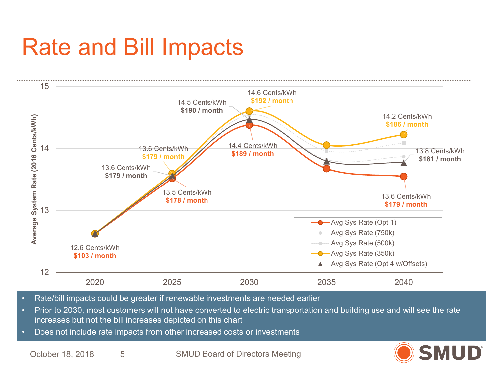### Rate and Bill Impacts



- Rate/bill impacts could be greater if renewable investments are needed earlier
- Prior to 2030, most customers will not have converted to electric transportation and building use and will see the rate increases but not the bill increases depicted on this chart
- Does not include rate impacts from other increased costs or investments

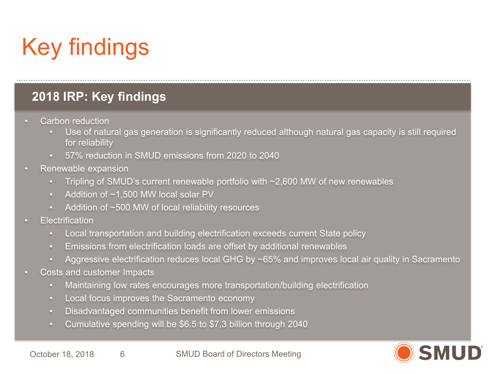## Key findings

#### **2018 IRP: Key findings**

- Carbon reduction
	- Use of natural gas generation is significantly reduced although natural gas capacity is still required for reliability
	- 57% reduction in SMUD emissions from 2020 to 2040
- Renewable expansion
	- Tripling of SMUD's current renewable portfolio with  $\sim$ 2,600 MW of new renewables
	- Addition of ~1,500 MW local solar PV
	- Addition of ~500 MW of local reliability resources
- **Flectrification** 
	- Local transportation and building electrification exceeds current State policy
	- Emissions from electrification loads are offset by additional renewables
	- Aggressive electrification reduces local GHG by ~65% and improves local air quality in Sacramento
- Costs and customer Impacts
	- Maintaining low rates encourages more transportation/building electrification
	- Local focus improves the Sacramento economy
	- Disadvantaged communities benefit from lower emissions
	- Cumulative spending will be \$6.5 to \$7.3 billion through 2040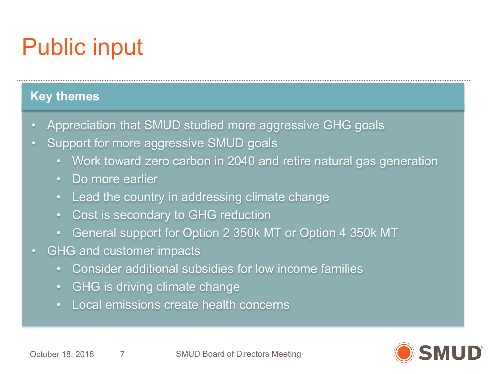## Public input

#### **Key themes**

- Appreciation that SMUD studied more aggressive GHG goals
- Support for more aggressive SMUD goals
	- Work toward zero carbon in 2040 and retire natural gas generation
	- Do more earlier
	- Lead the country in addressing climate change
	- Cost is secondary to GHG reduction
	- General support for Option 2 350k MT or Option 4 350k MT
- GHG and customer impacts
	- Consider additional subsidies for low income families
	- GHG is driving climate change
	- Local emissions create health concerns

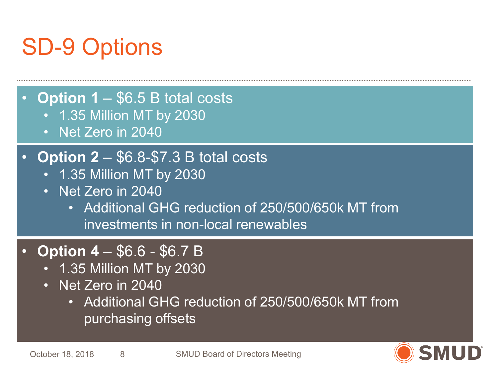### SD-9 Options

• **Option 1** – \$6.5 B total costs

- 1.35 Million MT by 2030
- Net Zero in 2040

### • **Option 2** – \$6.8-\$7.3 B total costs

- 1.35 Million MT by 2030
- Net Zero in 2040
	- Additional GHG reduction of 250/500/650k MT from investments in non-local renewables

### • **Option 4** – \$6.6 - \$6.7 B

- 1.35 Million MT by 2030
- Net Zero in 2040
	- Additional GHG reduction of 250/500/650k MT from purchasing offsets

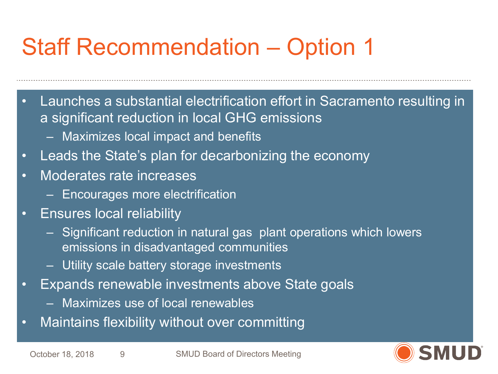### Staff Recommendation – Option 1

- Launches a substantial electrification effort in Sacramento resulting in a significant reduction in local GHG emissions
	- Maximizes local impact and benefits
- Leads the State's plan for decarbonizing the economy
- Moderates rate increases
	- Encourages more electrification
- Ensures local reliability
	- Significant reduction in natural gas plant operations which lowers emissions in disadvantaged communities
	- Utility scale battery storage investments
- Expands renewable investments above State goals
	- Maximizes use of local renewables
- Maintains flexibility without over committing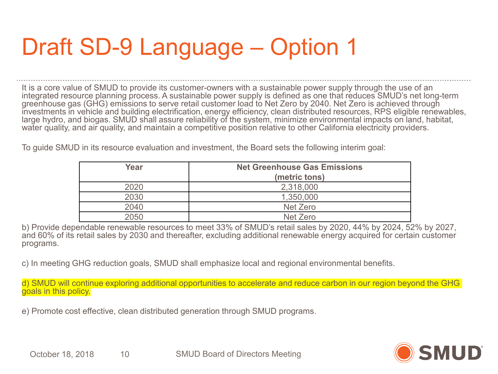### Draft SD-9 Language – Option 1

It is a core value of SMUD to provide its customer-owners with a sustainable power supply through the use of an integrated resource planning process. A sustainable power supply is defined as one that reduces SMUD's net long-term greenhouse gas (GHG) emissions to serve retail customer load to Net Zero by 2040. Net Zero is achieved through investments in vehicle and building electrification, energy efficiency, clean distributed resources, RPS eligible renewables, large hydro, and biogas. SMUD shall assure reliability of the system, minimize environmental impacts on land, habitat, water quality, and air quality, and maintain a competitive position relative to other California electricity providers.

To guide SMUD in its resource evaluation and investment, the Board sets the following interim goal:

| Year | <b>Net Greenhouse Gas Emissions</b> |  |
|------|-------------------------------------|--|
|      | (metric tons)                       |  |
| 2020 | 2,318,000                           |  |
| 2030 | 1,350,000                           |  |
| 2040 | Net Zero                            |  |
| 2050 | Net Zero                            |  |

b) Provide dependable renewable resources to meet 33% of SMUD's retail sales by 2020, 44% by 2024, 52% by 2027, and 60% of its retail sales by 2030 and thereafter, excluding additional renewable energy acquired for certain customer programs.

c) In meeting GHG reduction goals, SMUD shall emphasize local and regional environmental benefits.

d) SMUD will continue exploring additional opportunities to accelerate and reduce carbon in our region beyond the GHG goals in this policy.

e) Promote cost effective, clean distributed generation through SMUD programs.

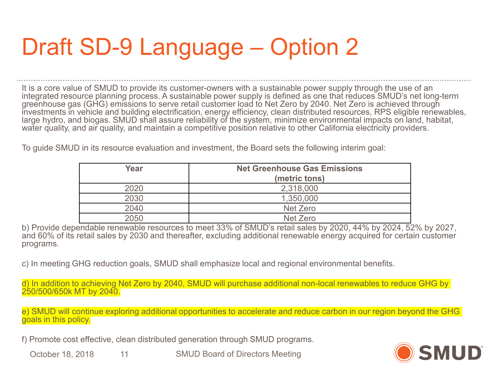### Draft SD-9 Language – Option 2

It is a core value of SMUD to provide its customer-owners with a sustainable power supply through the use of an integrated resource planning process. A sustainable power supply is defined as one that reduces SMUD's net long-term greenhouse gas (GHG) emissions to serve retail customer load to Net Zero by 2040. Net Zero is achieved through investments in vehicle and building electrification, energy efficiency, clean distributed resources, RPS eligible renewables, large hydro, and biogas. SMUD shall assure reliability of the system, minimize environmental impacts on land, habitat, water quality, and air quality, and maintain a competitive position relative to other California electricity providers.

To guide SMUD in its resource evaluation and investment, the Board sets the following interim goal:

| Year | <b>Net Greenhouse Gas Emissions</b> |  |
|------|-------------------------------------|--|
|      | (metric tons)                       |  |
| 2020 | 2,318,000                           |  |
| 2030 | 1,350,000                           |  |
| 2040 | Net Zero                            |  |
| 2050 | Net Zero                            |  |

b) Provide dependable renewable resources to meet 33% of SMUD's retail sales by 2020, 44% by 2024, 52% by 2027, and 60% of its retail sales by 2030 and thereafter, excluding additional renewable energy acquired for certain customer programs.

c) In meeting GHG reduction goals, SMUD shall emphasize local and regional environmental benefits.

d) In addition to achieving Net Zero by 2040, SMUD will purchase additional non-local renewables to reduce GHG by 250/500/650k MT by 2040.

e) SMUD will continue exploring additional opportunities to accelerate and reduce carbon in our region beyond the GHG goals in this policy.

f) Promote cost effective, clean distributed generation through SMUD programs.

SMUD Board of Directors Meeting October 18, 2018 11